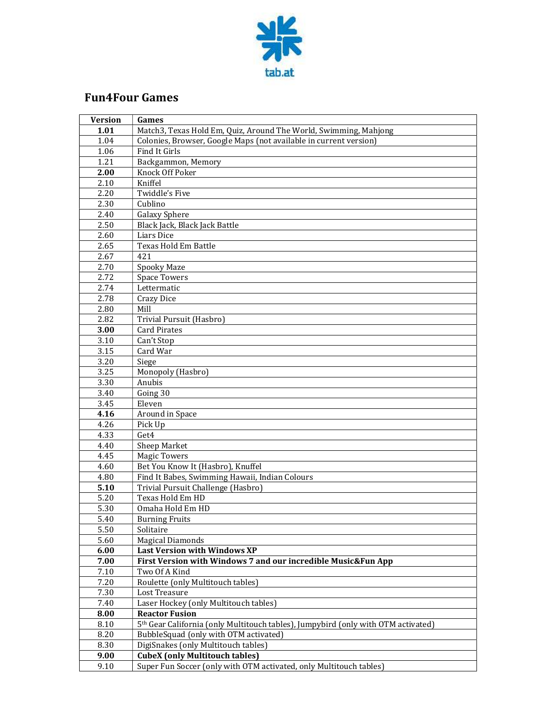

## Fun4Four Games

| <b>Version</b> | Games                                                                                         |
|----------------|-----------------------------------------------------------------------------------------------|
| 1.01           | Match3, Texas Hold Em, Quiz, Around The World, Swimming, Mahjong                              |
| 1.04           | Colonies, Browser, Google Maps (not available in current version)                             |
| 1.06           | Find It Girls                                                                                 |
| 1.21           | Backgammon, Memory                                                                            |
| 2.00           | <b>Knock Off Poker</b>                                                                        |
| 2.10           | Kniffel                                                                                       |
| 2.20           | Twiddle's Five                                                                                |
| 2.30           | Cublino                                                                                       |
| 2.40           | Galaxy Sphere                                                                                 |
| 2.50           | Black Jack, Black Jack Battle                                                                 |
| 2.60           | Liars Dice                                                                                    |
| 2.65           | Texas Hold Em Battle                                                                          |
| 2.67           | 421                                                                                           |
| 2.70           | Spooky Maze                                                                                   |
| 2.72           | <b>Space Towers</b>                                                                           |
| 2.74           | Lettermatic                                                                                   |
| 2.78           | <b>Crazy Dice</b>                                                                             |
| 2.80           | Mill                                                                                          |
| 2.82           | Trivial Pursuit (Hasbro)                                                                      |
| 3.00           | <b>Card Pirates</b>                                                                           |
| 3.10           | Can't Stop                                                                                    |
| 3.15           | Card War                                                                                      |
| 3.20           | Siege                                                                                         |
| 3.25           | Monopoly (Hasbro)                                                                             |
| 3.30           | Anubis                                                                                        |
| 3.40           | Going 30                                                                                      |
| 3.45           | Eleven                                                                                        |
| 4.16           | Around in Space                                                                               |
| 4.26           | Pick Up                                                                                       |
| 4.33           | Get4                                                                                          |
| 4.40           | Sheep Market                                                                                  |
| 4.45           | <b>Magic Towers</b>                                                                           |
| 4.60           | Bet You Know It (Hasbro), Knuffel                                                             |
| 4.80           | Find It Babes, Swimming Hawaii, Indian Colours                                                |
| 5.10           | Trivial Pursuit Challenge (Hasbro)                                                            |
| 5.20           | Texas Hold Em HD                                                                              |
| 5.30           | Omaha Hold Em HD                                                                              |
| 5.40           | <b>Burning Fruits</b>                                                                         |
| 5.50           | Solitaire                                                                                     |
| 5.60           | <b>Magical Diamonds</b>                                                                       |
| 6.00           | <b>Last Version with Windows XP</b>                                                           |
| 7.00           | First Version with Windows 7 and our incredible Music&Fun App                                 |
| 7.10           | Two Of A Kind                                                                                 |
| 7.20           | Roulette (only Multitouch tables)                                                             |
| 7.30           | Lost Treasure                                                                                 |
| 7.40           | Laser Hockey (only Multitouch tables)                                                         |
| 8.00           | <b>Reactor Fusion</b>                                                                         |
| 8.10           | 5 <sup>th</sup> Gear California (only Multitouch tables), Jumpybird (only with OTM activated) |
| 8.20           | BubbleSquad (only with OTM activated)                                                         |
| 8.30           | DigiSnakes (only Multitouch tables)                                                           |
| 9.00           | <b>CubeX</b> (only Multitouch tables)                                                         |
| 9.10           | Super Fun Soccer (only with OTM activated, only Multitouch tables)                            |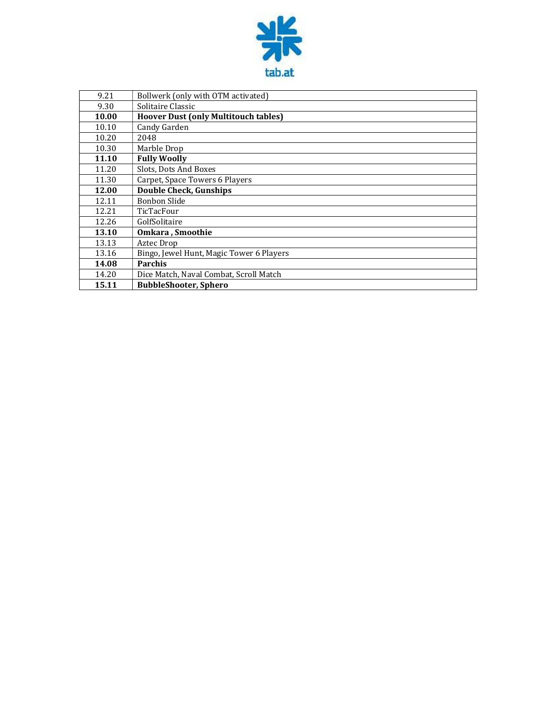

| 9.21  | Bollwerk (only with OTM activated)          |  |
|-------|---------------------------------------------|--|
| 9.30  | Solitaire Classic                           |  |
| 10.00 | <b>Hoover Dust (only Multitouch tables)</b> |  |
| 10.10 | Candy Garden                                |  |
| 10.20 | 2048                                        |  |
| 10.30 | Marble Drop                                 |  |
| 11.10 | <b>Fully Woolly</b>                         |  |
| 11.20 | Slots, Dots And Boxes                       |  |
| 11.30 | Carpet, Space Towers 6 Players              |  |
| 12.00 | Double Check, Gunships                      |  |
| 12.11 | <b>Bonbon Slide</b>                         |  |
| 12.21 | TicTacFour                                  |  |
| 12.26 | GolfSolitaire                               |  |
| 13.10 | Omkara, Smoothie                            |  |
| 13.13 | Aztec Drop                                  |  |
| 13.16 | Bingo, Jewel Hunt, Magic Tower 6 Players    |  |
| 14.08 | <b>Parchis</b>                              |  |
| 14.20 | Dice Match, Naval Combat, Scroll Match      |  |
| 15.11 | <b>BubbleShooter, Sphero</b>                |  |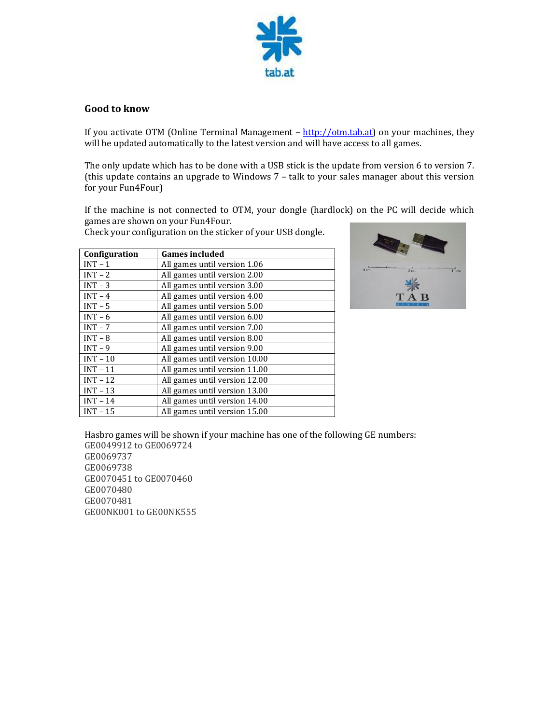

## Good to know

If you activate OTM (Online Terminal Management – http://otm.tab.at) on your machines, they will be updated automatically to the latest version and will have access to all games.

The only update which has to be done with a USB stick is the update from version 6 to version 7. (this update contains an upgrade to Windows 7 – talk to your sales manager about this version for your Fun4Four)

If the machine is not connected to OTM, your dongle (hardlock) on the PC will decide which games are shown on your Fun4Four.

Check your configuration on the sticker of your USB dongle.

| Configuration | <b>Games included</b>         |
|---------------|-------------------------------|
| $INT - 1$     | All games until version 1.06  |
| $INT - 2$     | All games until version 2.00  |
| $INT - 3$     | All games until version 3.00  |
| $INT - 4$     | All games until version 4.00  |
| $INT - 5$     | All games until version 5.00  |
| $INT - 6$     | All games until version 6.00  |
| $INT - 7$     | All games until version 7.00  |
| $INT - 8$     | All games until version 8.00  |
| $INT - 9$     | All games until version 9.00  |
| $INT - 10$    | All games until version 10.00 |
| $INT - 11$    | All games until version 11.00 |
| $INT - 12$    | All games until version 12.00 |
| $INT - 13$    | All games until version 13.00 |
| $INT - 14$    | All games until version 14.00 |
| $INT - 15$    | All games until version 15.00 |



Hasbro games will be shown if your machine has one of the following GE numbers: GE0049912 to GE0069724 GE0069737 GE0069738 GE0070451 to GE0070460 GE0070480 GE0070481 GE00NK001 to GE00NK555